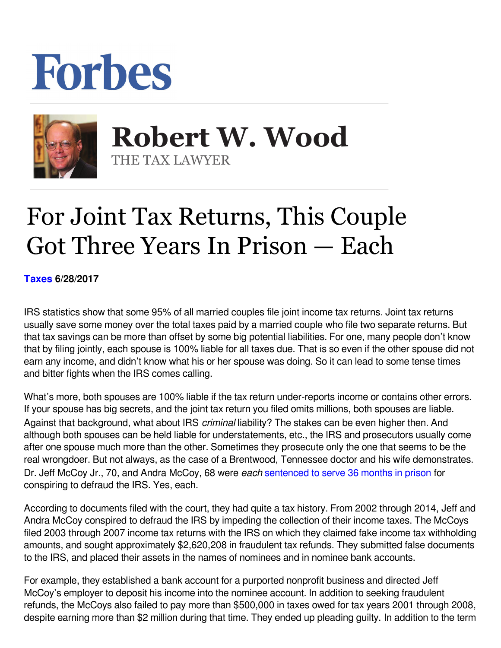## Forbes



 **Robert W. Wood** THE TAX LAWYER

## For Joint Tax Returns, This Couple Got Three Years In Prison — Each

**[Taxes](https://www.forbes.com/taxes) 6/28/2017** 

IRS statistics show that some 95% of all married couples file joint income tax returns. Joint tax returns usually save some money over the total taxes paid by a married couple who file two separate returns. But that tax savings can be more than offset by some big potential liabilities. For one, many people don't know that by filing jointly, each spouse is 100% liable for all taxes due. That is so even if the other spouse did not earn any income, and didn't know what his or her spouse was doing. So it can lead to some tense times and bitter fights when the IRS comes calling.

What's more, both spouses are 100% liable if the tax return under-reports income or contains other errors. If your spouse has big secrets, and the joint tax return you filed omits millions, both spouses are liable. Against that background, what about IRS *criminal* liability? The stakes can be even higher then. And although both spouses can be held liable for understatements, etc., the IRS and prosecutors usually come after one spouse much more than the other. Sometimes they prosecute only the one that seems to be the real wrongdoer. But not always, as the case of a Brentwood, Tennessee doctor and his wife demonstrates. Dr. Jeff McCoy Jr., 70, and Andra McCoy, 68 were *each* [sentenced to serve 36 months in prison](https://www.justice.gov/opa/pr/tennessee-doctor-and-his-wife-sentenced-prison-conspiring-defraud-irs) for conspiring to defraud the IRS. Yes, each.

According to documents filed with the court, they had quite a tax history. From 2002 through 2014, Jeff and Andra McCoy conspired to defraud the IRS by impeding the collection of their income taxes. The McCoys filed 2003 through 2007 income tax returns with the IRS on which they claimed fake income tax withholding amounts, and sought approximately \$2,620,208 in fraudulent tax refunds. They submitted false documents to the IRS, and placed their assets in the names of nominees and in nominee bank accounts.

For example, they established a bank account for a purported nonprofit business and directed Jeff McCoy's employer to deposit his income into the nominee account. In addition to seeking fraudulent refunds, the McCoys also failed to pay more than \$500,000 in taxes owed for tax years 2001 through 2008, despite earning more than \$2 million during that time. They ended up pleading guilty. In addition to the term